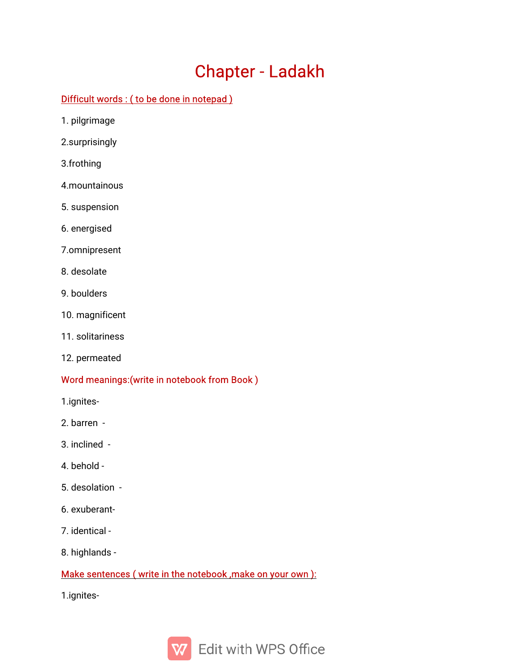# Chapter-Ladakh

## Difficult words: (to be done in notepad)

- 1.pilgrimage
- 2.surprisingly
- 3.frothing
- 4.mountainous
- 5.suspension
- 6.energised
- 7.omnipresent
- 8.desolate
- 9.boulders
- 10. magnificent
- 11.solitariness
- 12. permeated

## Word meanings: (write in notebook from Book)

- 1.ignites-
- 2.barren-
- 3.inclined-
- 4.behold-
- 5.desolation-
- 6.exuberant-
- 7.identical-
- 8. highlands -

## Make sentences (write in the notebook, make on your own):

1.ignites-

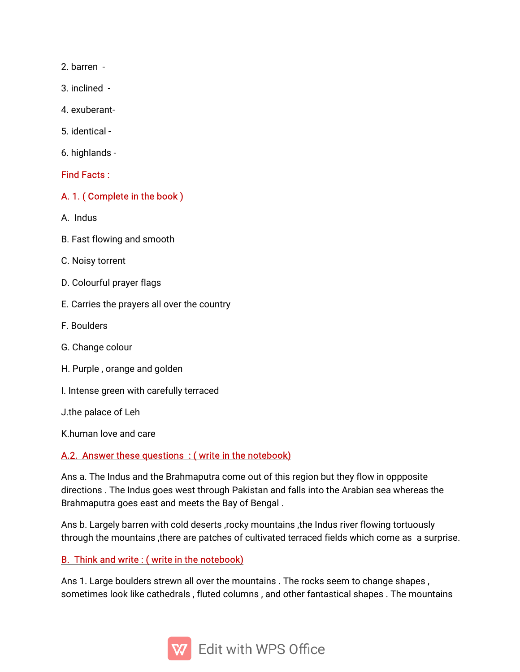2.barren-

- 3.inclined-
- 4.exuberant-
- 5.identical-
- 6.highlands-

#### Find Facts:

#### A. 1. (Complete in the book)

- A.Indus
- B. Fast flowing and smooth
- C. Noisy torrent
- D. Colourful prayer flags
- E. Carries the prayers all over the country
- F.Boulders
- G. Change colour
- H. Purple, orange and golden
- I. Intense green with carefully terraced

J.the palace of Leh

K.human love and care

#### A.2. Answer these questions: (write in the notebook)

Ans a. The Indus and the Brahmaputra come out of this region but they flow in oppposite directions. The Indus goes west through Pakistan and falls into the Arabian sea whereas the Brahmaputra goes east and meets the Bay of Bengal.

Ans b. Largely barren with cold deserts, rocky mountains, the Indus river flowing tortuously through the mountains, there are patches of cultivated terraced fields which come as a surprise.

## B. Think and write: (write in the notebook)

Ans 1. Large boulders strewn all over the mountains. The rocks seem to change shapes, sometimes look like cathedrals, fluted columns, and other fantastical shapes. The mountains

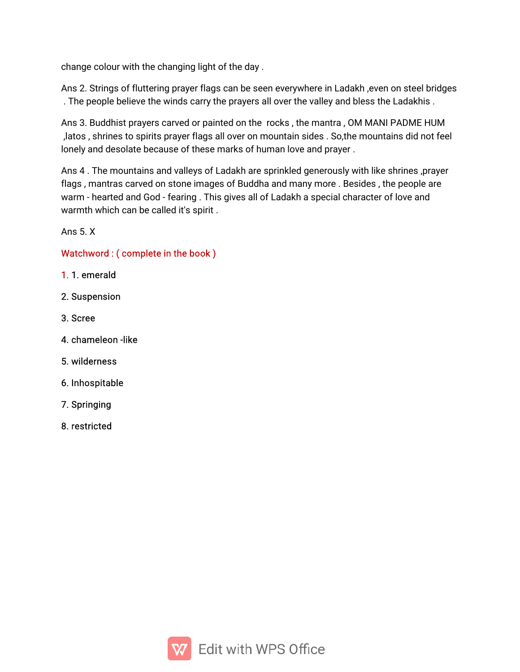change colour with the changing light of the day.

Ans 2. Strings of fluttering prayer flags can be seen everywhere in Ladakh, even on steel bridges . The people believe the winds carry the prayers all over the valley and bless the Ladakhis.

Ans 3. Buddhist prayers carved or painted on the rocks, the mantra, OM MANI PADME HUM ,latos, shrines to spirits prayer flags all over on mountain sides. So,the mountains did not feel lonely and desolate because of these marks of human love and prayer.

Ans 4. The mountains and valleys of Ladakh are sprinkled generously with like shrines, prayer flags, mantras carved on stone images of Buddha and many more. Besides, the people are warm - hearted and God - fearing. This gives all of Ladakh a special character of love and warmth which can be called it's spirit.

Ans  $5 \times$ 

## Watchword: (complete in the book)

- 1.1.emerald
- 2.Suspension
- 3.Scree
- 4.chameleon-like
- 5.wilderness
- 6.Inhospitable
- 7.Springing
- 8.restricted

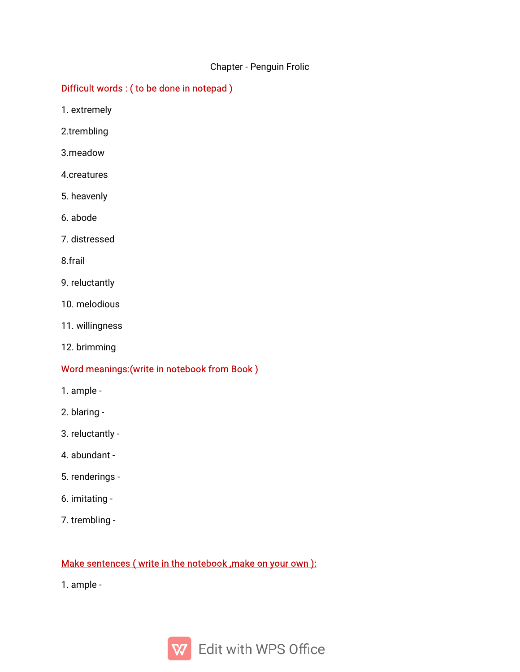#### Chapter - Penguin Frolic

## Difficult words: (to be done in notepad)

1.extremely

2.trembling

- 3.meadow
- 4.creatures
- 5.heavenly
- 6.abode
- 7.distressed

8.frail

- 9. reluctantly
- 10.melodious
- 11.willingness
- 12.brimming

#### Word meanings: (write in notebook from Book)

- 1.ample-
- 2.blaring-
- 3.reluctantly-
- 4.abundant-
- 5.renderings-
- 6.imitating-
- 7. trembling -

## Make sentences (write in the notebook, make on your own):

1.ample-